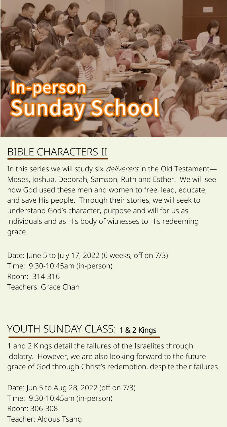# **unda**

### BIBLE CHARACTERS II

In this series we will study six *deliverers* in the Old Testament-Moses, Joshua, Deborah, Samson, Ruth and Esther. We will see how God used these men and women to free, lead, educate, and save His people. Through their stories, we will seek to understand God's character, purpose and will for us as individuals and as His body of witnesses to His redeeming grace.

Date: June 5 to July 17, 2022 (6 weeks, off on 7/3) Time: 9:30-10:45am (in-person) Room: 314-316 Teachers: Grace Chan

#### YOUTH SUNDAY CLASS: 1 & 2 Kings

1 and 2 Kings detail the failures of the Israelites through idolatry. However, we are also looking forward to the future grace of God through Christ's redemption, despite their failures.

Date: Jun 5 to Aug 28, 2022 (off on 7/3) Time: 9:30-10:45am (in-person) Room: 306-308 Teacher: Aldous Tsang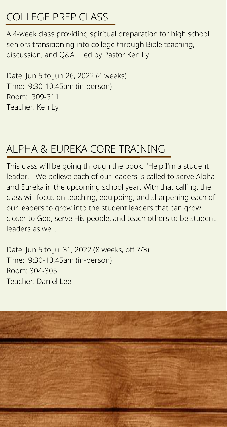# COLLEGE PREP CLASS

A 4-week class providing spiritual preparation for high school seniors transitioning into college through Bible teaching, discussion, and Q&A. Led by Pastor Ken Ly.

Date: Jun 5 to Jun 26, 2022 (4 weeks) Time: 9:30-10:45am (in-person) Room: 309-311 Teacher: Ken Ly

## ALPHA & EUREKA CORE TRAINING

This class will be going through the book, "Help I'm a student leader." We believe each of our leaders is called to serve Alpha and Eureka in the upcoming school year. With that calling, the class will focus on teaching, equipping, and sharpening each of our leaders to grow into the student leaders that can grow closer to God, serve His people, and teach others to be student leaders as well.

Date: Jun 5 to Jul 31, 2022 (8 weeks, off 7/3) Time: 9:30-10:45am (in-person) Room: 304-305 Teacher: Daniel Lee